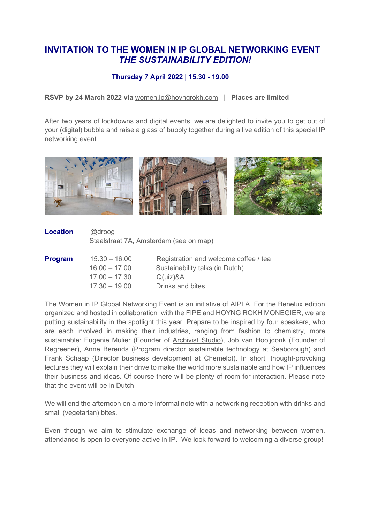## **INVITATION TO THE WOMEN IN IP GLOBAL NETWORKING EVENT** *THE SUSTAINABILITY EDITION!*

## **Thursday 7 April 2022 | 15.30 - 19.00**

**RSVP by 24 March 2022 via** [women.ip@hoyngrokh.com](mailto:women.ip@hoyngrokh.com?subject=Sign%20up%20for%20the%20Women%20in%20IP%20Event) | **Places are limited**

After two years of lockdowns and digital events, we are delighted to invite you to get out of your (digital) bubble and raise a glass of bubbly together during a live edition of this special IP networking event.



| <b>Location</b> | @droog                                 |
|-----------------|----------------------------------------|
|                 | Staalstraat 7A, Amsterdam (see on map) |
|                 |                                        |

| <b>Program</b> | $15.30 - 16.00$ | Registration and welcome coffee / tea |
|----------------|-----------------|---------------------------------------|
|                | $16.00 - 17.00$ | Sustainability talks (in Dutch)       |
|                | $17.00 - 17.30$ | $Q(uz)$ &A                            |
|                | $17.30 - 19.00$ | Drinks and bites                      |

The Women in IP Global Networking Event is an initiative of AIPLA. For the Benelux edition organized and hosted in collaboration with the FIPE and HOYNG ROKH MONEGIER, we are putting sustainability in the spotlight this year. Prepare to be inspired by four speakers, who are each involved in making their industries, ranging from fashion to chemistry, more sustainable: Eugenie Mulier (Founder of [Archivist Studio\)](https://www.archivist.studio/), Job van Hooijdonk (Founder of [Regreener\)](https://regreener.eu/), Anne Berends (Program director sustainable technology at [Seaborough\)](https://www.seaborough.com/) and Frank Schaap (Director business development at [Chemelot\)](https://www.chemelot.nl/). In short, thought-provoking lectures they will explain their drive to make the world more sustainable and how IP influences their business and ideas. Of course there will be plenty of room for interaction. Please note that the event will be in Dutch.

We will end the afternoon on a more informal note with a networking reception with drinks and small (vegetarian) bites.

Even though we aim to stimulate exchange of ideas and networking between women, attendance is open to everyone active in IP. We look forward to welcoming a diverse group!